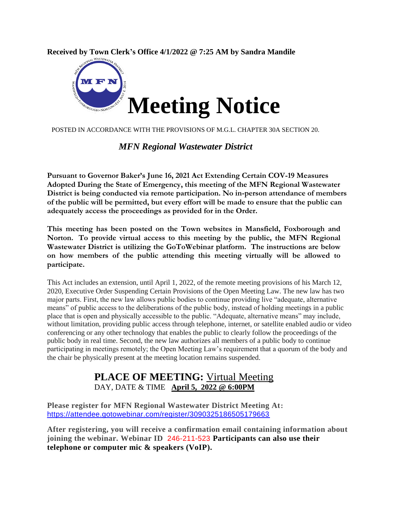**Received by Town Clerk's Office 4/1/2022 @ 7:25 AM by Sandra Mandile**



POSTED IN ACCORDANCE WITH THE PROVISIONS OF M.G.L. CHAPTER 30A SECTION 20.

### *MFN Regional Wastewater District*

**Pursuant to Governor Baker's June 16, 2021 Act Extending Certain COV-19 Measures Adopted During the State of Emergency, this meeting of the MFN Regional Wastewater District is being conducted via remote participation. No in-person attendance of members of the public will be permitted, but every effort will be made to ensure that the public can adequately access the proceedings as provided for in the Order.**

**This meeting has been posted on the Town websites in Mansfield, Foxborough and Norton. To provide virtual access to this meeting by the public, the MFN Regional Wastewater District is utilizing the GoToWebinar platform. The instructions are below on how members of the public attending this meeting virtually will be allowed to participate.**

This Act includes an extension, until April 1, 2022, of the remote meeting provisions of his March 12, 2020, Executive Order Suspending Certain Provisions of the Open Meeting Law. The new law has two major parts. First, the new law allows public bodies to continue providing live "adequate, alternative means" of public access to the deliberations of the public body, instead of holding meetings in a public place that is open and physically accessible to the public. "Adequate, alternative means" may include, without limitation, providing public access through telephone, internet, or satellite enabled audio or video conferencing or any other technology that enables the public to clearly follow the proceedings of the public body in real time. Second, the new law authorizes all members of a public body to continue participating in meetings remotely; the Open Meeting Law's requirement that a quorum of the body and the chair be physically present at the meeting location remains suspended.

## **PLACE OF MEETING:** Virtual Meeting DAY, DATE & TIME **April 5, 2022 @ 6:00PM**

**Please register for MFN Regional Wastewater District Meeting At:**  <https://attendee.gotowebinar.com/register/3090325186505179663>

**After registering, you will receive a confirmation email containing information about joining the webinar. Webinar ID** 246-211-523 **Participants can also use their telephone or computer mic & speakers (VoIP).**